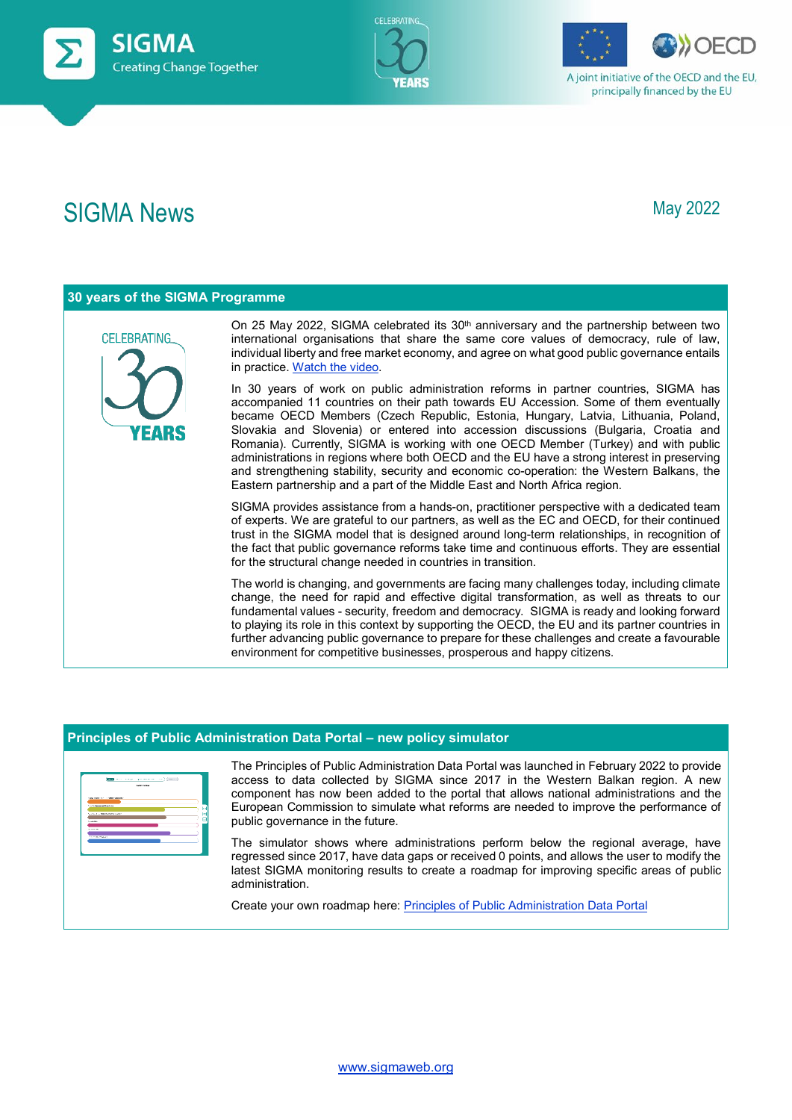







A joint initiative of the OECD and the EU, principally financed by the EU

## SIGMA News **May 2022**

| 30 years of the SIGMA Programme |                                                                                                                                                                                                                                                                                                                                                                                                                                                                                                                                                                                                                                                                                                                          |  |  |  |
|---------------------------------|--------------------------------------------------------------------------------------------------------------------------------------------------------------------------------------------------------------------------------------------------------------------------------------------------------------------------------------------------------------------------------------------------------------------------------------------------------------------------------------------------------------------------------------------------------------------------------------------------------------------------------------------------------------------------------------------------------------------------|--|--|--|
| CELEBRATING.                    | On 25 May 2022, SIGMA celebrated its $30th$ anniversary and the partnership between two<br>international organisations that share the same core values of democracy, rule of law,<br>individual liberty and free market economy, and agree on what good public governance entails<br>in practice. Watch the video.                                                                                                                                                                                                                                                                                                                                                                                                       |  |  |  |
|                                 | In 30 years of work on public administration reforms in partner countries, SIGMA has<br>accompanied 11 countries on their path towards EU Accession. Some of them eventually<br>became OECD Members (Czech Republic, Estonia, Hungary, Latvia, Lithuania, Poland,<br>Slovakia and Slovenia) or entered into accession discussions (Bulgaria, Croatia and<br>Romania). Currently, SIGMA is working with one OECD Member (Turkey) and with public<br>administrations in regions where both OECD and the EU have a strong interest in preserving<br>and strengthening stability, security and economic co-operation: the Western Balkans, the<br>Eastern partnership and a part of the Middle East and North Africa region. |  |  |  |
|                                 | SIGMA provides assistance from a hands-on, practitioner perspective with a dedicated team<br>of experts. We are grateful to our partners, as well as the EC and OECD, for their continued<br>trust in the SIGMA model that is designed around long-term relationships, in recognition of<br>the fact that public governance reforms take time and continuous efforts. They are essential<br>for the structural change needed in countries in transition.                                                                                                                                                                                                                                                                 |  |  |  |
|                                 | The world is changing, and governments are facing many challenges today, including climate<br>change, the need for rapid and effective digital transformation, as well as threats to our<br>fundamental values - security, freedom and democracy. SIGMA is ready and looking forward<br>to playing its role in this context by supporting the OECD, the EU and its partner countries in<br>further advancing public governance to prepare for these challenges and create a favourable<br>environment for competitive businesses, prosperous and happy citizens.                                                                                                                                                         |  |  |  |

## **Principles of Public Administration Data Portal – new policy simulator**

|                                     | <b>THE CONTRACT SERVICE CONTRACT</b> |   |
|-------------------------------------|--------------------------------------|---|
|                                     | <b>MODELS</b>                        |   |
|                                     |                                      |   |
| manager is formation and consider   |                                      |   |
|                                     |                                      |   |
| To a Southerne and detectories      |                                      | ы |
|                                     |                                      |   |
| <b>Service and American Program</b> |                                      | ы |
|                                     |                                      | п |
| <b>SAMPARE</b>                      |                                      |   |
| <b>Allen Armed</b>                  |                                      |   |
|                                     |                                      |   |
| <b>Contract Advised</b>             |                                      |   |
|                                     |                                      |   |
|                                     |                                      |   |

The Principles of Public Administration Data Portal was launched in February 2022 to provide access to data collected by SIGMA since 2017 in the Western Balkan region. A new component has now been added to the portal that allows national administrations and the European Commission to simulate what reforms are needed to improve the performance of public governance in the future.

The simulator shows where administrations perform below the regional average, have regressed since 2017, have data gaps or received 0 points, and allows the user to modify the latest SIGMA monitoring results to create a roadmap for improving specific areas of public administration.

Create your own roadmap here[: Principles of Public Administration Data Portal](https://par-portal.sigmaweb.org/simulator/)